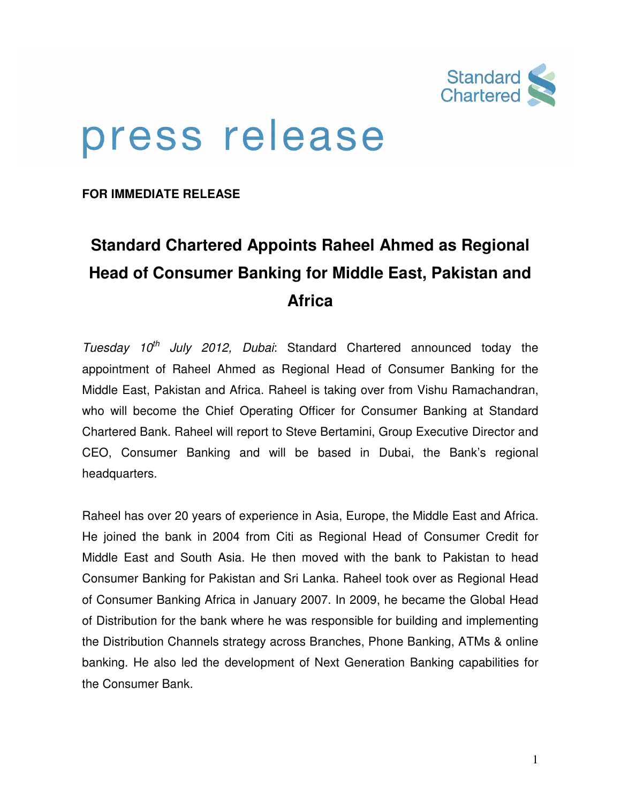

# press release

**FOR IMMEDIATE RELEASE** 

## **Standard Chartered Appoints Raheel Ahmed as Regional Head of Consumer Banking for Middle East, Pakistan and Africa**

Tuesday  $10^{th}$  July 2012, Dubai: Standard Chartered announced today the appointment of Raheel Ahmed as Regional Head of Consumer Banking for the Middle East, Pakistan and Africa. Raheel is taking over from Vishu Ramachandran, who will become the Chief Operating Officer for Consumer Banking at Standard Chartered Bank. Raheel will report to Steve Bertamini, Group Executive Director and CEO, Consumer Banking and will be based in Dubai, the Bank's regional headquarters.

Raheel has over 20 years of experience in Asia, Europe, the Middle East and Africa. He joined the bank in 2004 from Citi as Regional Head of Consumer Credit for Middle East and South Asia. He then moved with the bank to Pakistan to head Consumer Banking for Pakistan and Sri Lanka. Raheel took over as Regional Head of Consumer Banking Africa in January 2007. In 2009, he became the Global Head of Distribution for the bank where he was responsible for building and implementing the Distribution Channels strategy across Branches, Phone Banking, ATMs & online banking. He also led the development of Next Generation Banking capabilities for the Consumer Bank.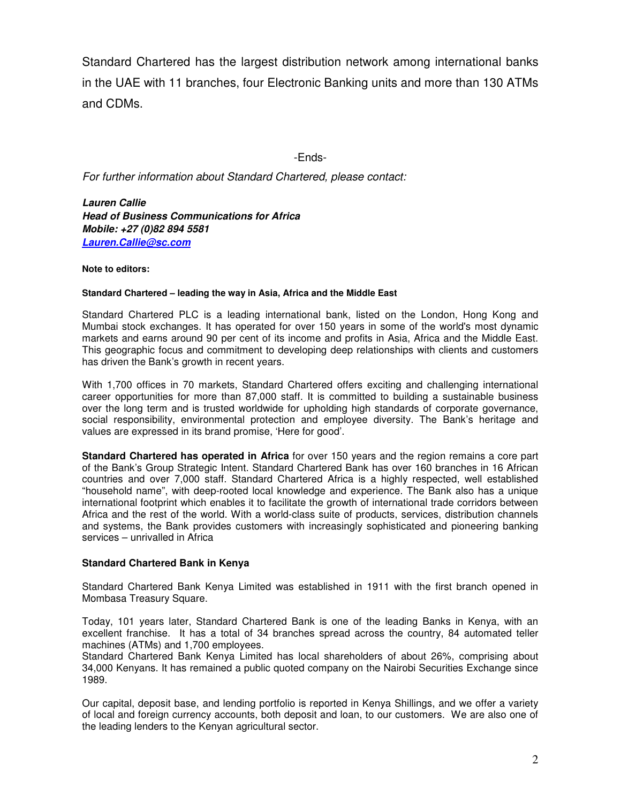Standard Chartered has the largest distribution network among international banks in the UAE with 11 branches, four Electronic Banking units and more than 130 ATMs and CDMs.

-Ends-

For further information about Standard Chartered, please contact:

**Lauren Callie Head of Business Communications for Africa Mobile: +27 (0)82 894 5581 Lauren.Callie@sc.com**

#### **Note to editors:**

#### **Standard Chartered – leading the way in Asia, Africa and the Middle East**

Standard Chartered PLC is a leading international bank, listed on the London, Hong Kong and Mumbai stock exchanges. It has operated for over 150 years in some of the world's most dynamic markets and earns around 90 per cent of its income and profits in Asia, Africa and the Middle East. This geographic focus and commitment to developing deep relationships with clients and customers has driven the Bank's growth in recent years.

With 1,700 offices in 70 markets, Standard Chartered offers exciting and challenging international career opportunities for more than 87,000 staff. It is committed to building a sustainable business over the long term and is trusted worldwide for upholding high standards of corporate governance, social responsibility, environmental protection and employee diversity. The Bank's heritage and values are expressed in its brand promise, 'Here for good'.

**Standard Chartered has operated in Africa** for over 150 years and the region remains a core part of the Bank's Group Strategic Intent. Standard Chartered Bank has over 160 branches in 16 African countries and over 7,000 staff. Standard Chartered Africa is a highly respected, well established "household name", with deep-rooted local knowledge and experience. The Bank also has a unique international footprint which enables it to facilitate the growth of international trade corridors between Africa and the rest of the world. With a world-class suite of products, services, distribution channels and systems, the Bank provides customers with increasingly sophisticated and pioneering banking services – unrivalled in Africa

### **Standard Chartered Bank in Kenya**

Standard Chartered Bank Kenya Limited was established in 1911 with the first branch opened in Mombasa Treasury Square.

Today, 101 years later, Standard Chartered Bank is one of the leading Banks in Kenya, with an excellent franchise. It has a total of 34 branches spread across the country, 84 automated teller machines (ATMs) and 1,700 employees.

Standard Chartered Bank Kenya Limited has local shareholders of about 26%, comprising about 34,000 Kenyans. It has remained a public quoted company on the Nairobi Securities Exchange since 1989.

Our capital, deposit base, and lending portfolio is reported in Kenya Shillings, and we offer a variety of local and foreign currency accounts, both deposit and loan, to our customers. We are also one of the leading lenders to the Kenyan agricultural sector.